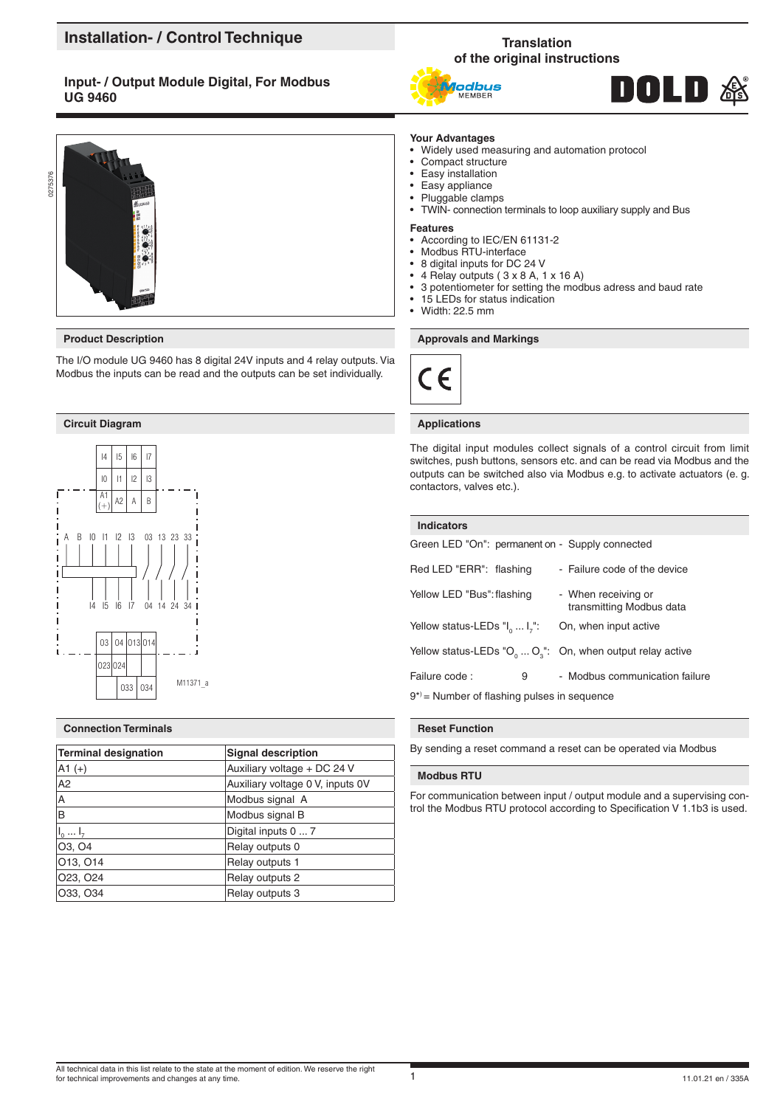# **Installation- / Control Technique**

# **Input- / Output Module Digital, For Modbus UG 9460**



The I/O module UG 9460 has 8 digital 24V inputs and 4 relay outputs. Via Modbus the inputs can be read and the outputs can be set individually.

## **Circuit Diagram Applications Applications**



## **Connection Terminals**

| Terminal designation | <b>Signal description</b>        |
|----------------------|----------------------------------|
| $ A1 (+) $           | Auxiliary voltage + DC 24 V      |
| A2                   | Auxiliary voltage 0 V, inputs 0V |
| A                    | Modbus signal A                  |
| lв                   | Modbus signal B                  |
| $I_0 \ldots I_r$     | Digital inputs 0  7              |
| O3, O4               | Relay outputs 0                  |
| 013, 014             | Relay outputs 1                  |
| 023, 024             | Relay outputs 2                  |
| 033, 034             | Relay outputs 3                  |

# **Translation of the original instructions**





# **Your Advantages**

- Widely used measuring and automation protocol
- Compact structure
- Easy installation
- Easy appliance
- Pluggable clamps
- TWIN- connection terminals to loop auxiliary supply and Bus

#### **Features**

- According to IEC/EN 61131-2
- Modbus RTU-interface
- 8 digital inputs for DC 24 V
- 4 Relay outputs ( 3 x 8 A, 1 x 16 A)
- 3 potentiometer for setting the modbus adress and baud rate
- 15 LEDs for status indication
- Width: 22.5 mm

## **Product Description Approvals and Markings Approvals and Markings**



The digital input modules collect signals of a control circuit from limit switches, push buttons, sensors etc. and can be read via Modbus and the outputs can be switched also via Modbus e.g. to activate actuators (e. g. contactors, valves etc.).

| <b>Indicators</b>                                          |                                                                       |
|------------------------------------------------------------|-----------------------------------------------------------------------|
| Green LED "On": permanent on - Supply connected            |                                                                       |
| Red LED "ERR": flashing                                    | - Failure code of the device                                          |
| Yellow LED "Bus": flashing                                 | - When receiving or<br>transmitting Modbus data                       |
| Yellow status-LEDs $\mathsf{II}_0 \dots \mathsf{I}_{7}$ ": | On, when input active                                                 |
|                                                            | Yellow status-LEDs " $O_0 \ldots O_n$ ": On, when output relay active |
| Failure code:<br>9                                         | - Modbus communication failure                                        |
| $9^*$ = Number of flashing pulses in sequence              |                                                                       |

#### **Reset Function**

By sending a reset command a reset can be operated via Modbus

## **Modbus RTU**

For communication between input / output module and a supervising control the Modbus RTU protocol according to Specification V 1.1b3 is used.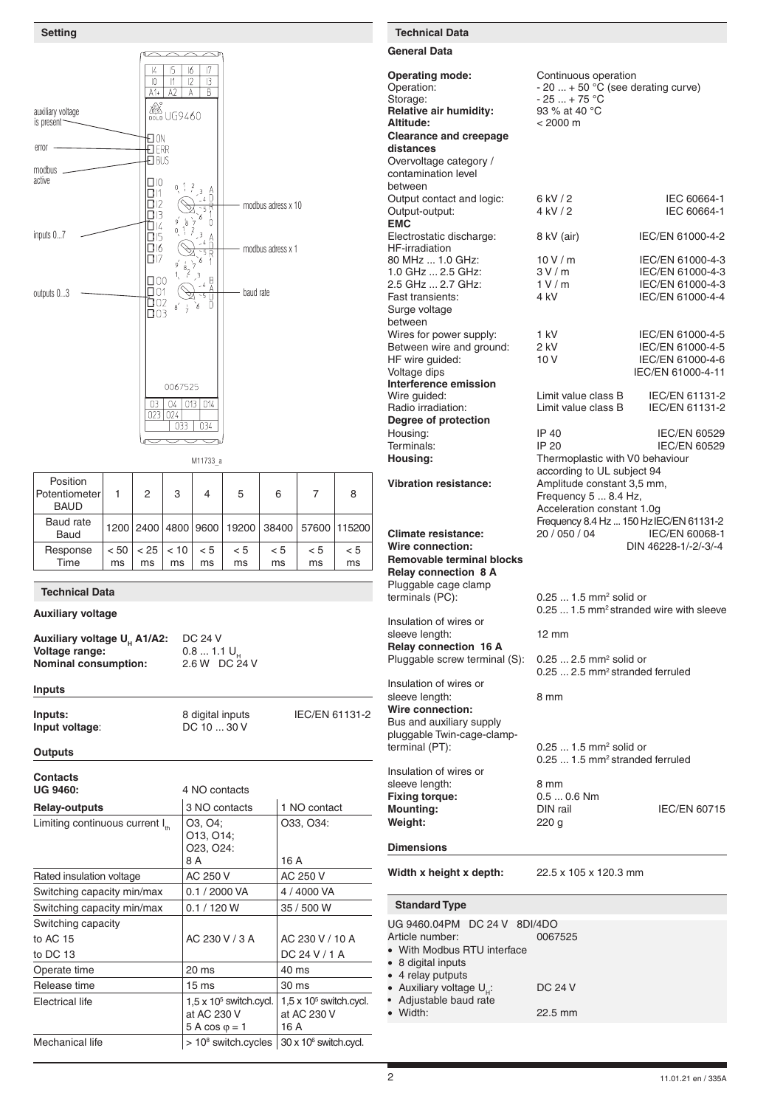

| Position<br>Potentiometer<br><b>BAUD</b> |      | 2    | 3    | 4   | 5   | 6   |     | 8                                            |
|------------------------------------------|------|------|------|-----|-----|-----|-----|----------------------------------------------|
| Baud rate<br>Baud                        |      |      |      |     |     |     |     | 1200 2400 4800 9600 19200 38400 57600 115200 |
| Response                                 | < 50 | < 25 | < 10 | < 5 | < 5 | < 5 | < 5 | < 5                                          |
| Time                                     | ms   | ms   | ms   | ms  | ms  | ms  | ms  | ms                                           |

## **Technical Data**

**Auxiliary voltage**

```
Auxiliary voltage U<sub>H</sub> A1/A2: DC 24 V<br>Voltage range: 0.8 ... 1.1 U<sub>H</sub>
Voltage range: 0.8 ... 1.1 U<sub>H</sub><br>
Nominal consumption: 2.6 W DC 24 V
Nominal consumption:
```
## **Inputs**

**Inputs:** 8 digital inputs IEC/EN 61131-2<br> **Input voltage:** DC 10 ... 30 V **Input voltage:** 

### **Outputs**

| <b>Contacts</b>                            |                                                                        |                                                       |
|--------------------------------------------|------------------------------------------------------------------------|-------------------------------------------------------|
| <b>UG 9460:</b>                            | 4 NO contacts                                                          |                                                       |
| <b>Relay-outputs</b>                       | 3 NO contacts                                                          | 1 NO contact                                          |
| Limiting continuous current I <sub>"</sub> | O <sub>3</sub> , O <sub>4</sub> ;<br>O13, O14;<br>O23, O24:<br>8 A     | O33, O34:<br>16 A                                     |
| Rated insulation voltage                   | AC 250 V                                                               | AC 250 V                                              |
| Switching capacity min/max                 | 0.1 / 2000 VA                                                          | 4 / 4000 VA                                           |
| Switching capacity min/max                 | 0.1 / 120 W                                                            | 35 / 500 W                                            |
| Switching capacity                         |                                                                        |                                                       |
| to AC 15                                   | AC 230 V / 3 A                                                         | AC 230 V / 10 A                                       |
| to DC 13                                   |                                                                        | DC 24 V / 1 A                                         |
| Operate time                               | 20 ms                                                                  | 40 ms                                                 |
| Release time                               | $15 \text{ ms}$                                                        | 30 ms                                                 |
| Electrical life                            | $1.5 \times 10^5$ switch.cycl.<br>at AC 230 V<br>$5 A cos \varphi = 1$ | $1.5 \times 10^5$ switch.cycl.<br>at AC 230 V<br>16 A |
| Mechanical life                            | $> 10^8$ switch cycles $\frac{1}{20}$ x 10 <sup>6</sup> switch cycl.   |                                                       |

# **Setting Technical Data**

**General Data**

**Operating mode:** Continuous operation Operation:  $-20 ... + 50 °C$  (see derating curve)<br>Storage:  $-25 ... + 75 °C$ **Relative air humidity:**<br>Altitude: **Clearance and creepage distances** Overvoltage category / contamination level between Output contact and logic:  $6 kV / 2$  IEC 60664-1<br>Output-output:  $4 kV / 2$  IEC 60664-1 Output-output: **EMC** Electrostatic discharge: 8 kV (air) IEC/EN 61000-4-2 HF-irradiation 80 MHz ... 1.0 GHz: 10 V / m IEC/EN 61000-4-3<br>1.0 GHz ... 2.5 GHz: 3 V / m IEC/EN 61000-4-3 1.0 GHz ... 2.5 GHz: 3 V / m IEC/EN 61000-4-3<br>2.5 GHz ... 2.7 GHz: 1 V / m IEC/EN 61000-4-3 2.5 GHz ... 2.7 GHz: 1 V /<br>Fast transients: 4 kV Surge voltage between Wires for power supply:  $1 kV$  IEC/EN 61000-4-5<br>Between wire and ground:  $2 kV$  IEC/EN 61000-4-5 Between wire and ground: 2 kV IEC/EN 61000-4-5<br>
HF wire quided: 10 V IEC/EN 61000-4-6 HF wire guided: 10 V Voltage dips  $IEC/EN 61000-4-11$ **Interference emission** Wire guided: Limit value class B IEC/EN 61131-2<br>
Radio irradiation: Limit value class B IEC/EN 61131-2 **Degree of protection**

**Removable terminal blocks Relay connection 8 A** Pluggable cage clamp terminals (PC):

Insulation of wires or sleeve length: 12 mm **Relay connection 16 A** Pluggable screw terminal (S):

Insulation of wires or sleeve length: 8 mm **Wire connection:** Bus and auxiliary supply pluggable Twin-cage-clamp-<br>terminal (PT): terminal  $(PT)$ : 0.25 ... 1.5 mm<sup>2</sup> solid or Insulation of wires or

sleeve length:<br>
Fixing torque:<br>
0.5 ... 0.6 Nm **Fixing torque:** 0.5 ... 0.<br> **Mounting:** DIN rail **Mounting:** DIN rail IEC/EN 60715 **Weight:** 220 g

# **Dimensions**

**Width x height x depth:** 22.5 x 105 x 120.3 mm

## **Standard Type**

| UG 9460.04PM DC 24 V 8DI/4DO    |         |
|---------------------------------|---------|
| Article number:                 | 0067525 |
| • With Modbus RTU interface     |         |
| • 8 digital inputs              |         |
| • 4 relay putputs               |         |
| • Auxiliary voltage $U_{\mu}$ : | DC 24 V |
| • Adjustable baud rate          |         |
| $\bullet$ Width:                | 22.5 mm |

IP 40 IEC/EN 60529<br>IP 20 IEC/EN 60529 Terminals: IP 20 IEC/EN 60529<br> **Housing:** Thermoplastic with V0 behaviour **Housing:** Thermoplastic with V0 behaviour according to UL subject 94 **Vibration resistance:** Amplitude constant 3,5 mm, Frequency 5 ... 8.4 Hz, Acceleration constant 1.0g Frequency 8.4 Hz ... 150 HzIEC/EN 61131-2 **Climate resistance:** 20 / 050 / 04 IEC/EN 60068-1<br>**Wire connection:** 20 / 050 / 04 DIN 46228-1/-2/-3/-4 **Wire connection:** DIN 46228-1/-2/-3/-4

Limit value class B

IEC/EN 61000-4-4

0.25 ... 1.5 mm<sup>2</sup> solid or 0.25 ... 1.5 mm2 stranded wire with sleeve

 $-25... + 75 °C$ <br>93 % at 40 °C

**Altitude:** < 2000 m

0.25 ... 2.5 mm<sup>2</sup> solid or 0.25 ... 2.5 mm2 stranded ferruled

0.25 ... 1.5 mm2 stranded ferruled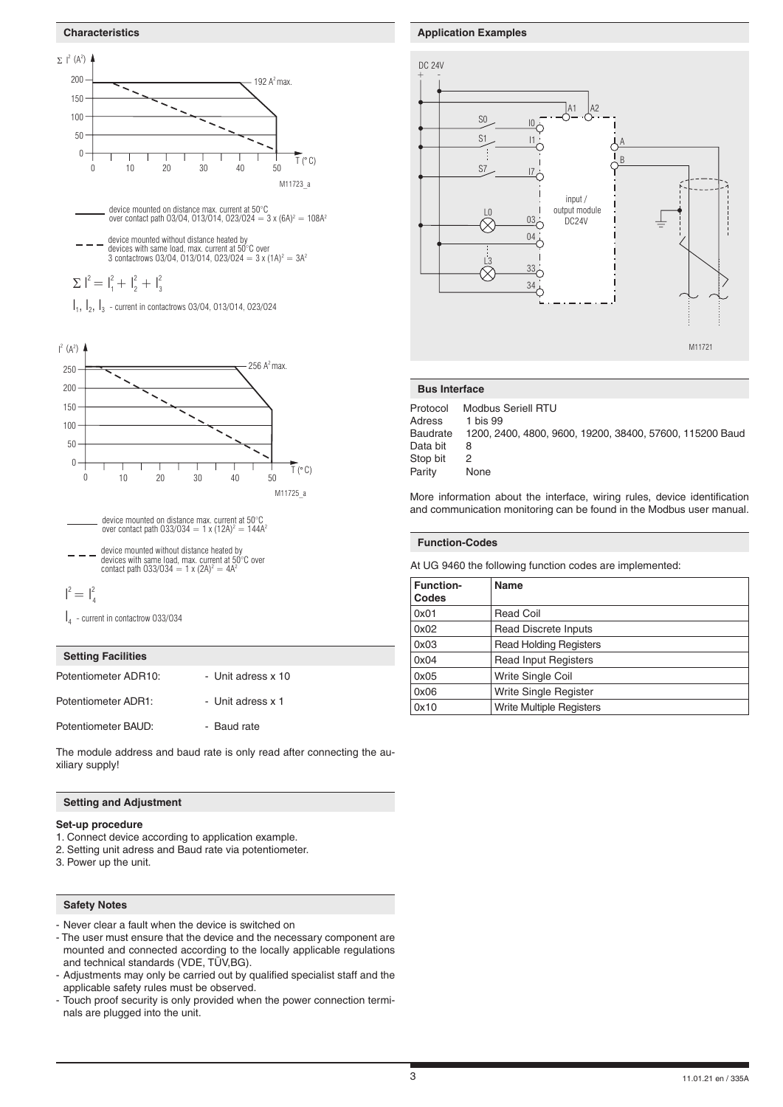### **Characteristics**





device mounted on distance max. current at 50°C<br>over contact path 033/034 = 1 x (12A)<sup>2</sup> = 144A<sup>2</sup>

- device mounted without distance heated by<br>devices with same load, max. current at 50°C over<br>contact path 033/034 = 1 x (2A)<sup>2</sup> = 4A<sup>2</sup>
- $I^2 = I_4^2$

 $I_4$  - current in contactrow 033/034

## **Setting Facilities**

Potentiometer ADR10: - Unit adress x 10

Potentiometer ADR1: - - Unit adress x 1

Potentiometer BAUD: - Baud rate

The module address and baud rate is only read after connecting the auxiliary supply!

## **Setting and Adjustment**

## **Set-up procedure**

- 1. Connect device according to application example.
- 2. Setting unit adress and Baud rate via potentiometer.
- 3. Power up the unit.

## **Safety Notes**

- Never clear a fault when the device is switched on
- The user must ensure that the device and the necessary component are mounted and connected according to the locally applicable regulations and technical standards (VDE, TÜV,BG).
- Adjustments may only be carried out by qualified specialist staff and the applicable safety rules must be observed.
- Touch proof security is only provided when the power connection terminals are plugged into the unit.

## **Application Examples**



### **Bus Interface**

Protocol Modbus Seriell RTU Adress 1 bis 99 Baudrate 1200, 2400, 4800, 9600, 19200, 38400, 57600, 115200 Baud Data bit 8<br>Stop bit 2 Stop bit Parity None

More information about the interface, wiring rules, device identification and communication monitoring can be found in the Modbus user manual.

## **Function-Codes**

At UG 9460 the following function codes are implemented:

| <b>Function-</b><br>Codes | <b>Name</b>                   |
|---------------------------|-------------------------------|
| 0x01                      | <b>Read Coil</b>              |
| 0x02                      | <b>Read Discrete Inputs</b>   |
| 0x03                      | <b>Read Holding Registers</b> |
| 0x04                      | <b>Read Input Registers</b>   |
| 0x05                      | <b>Write Single Coil</b>      |
| 0x06                      | Write Single Register         |
| 0x10                      | Write Multiple Registers      |